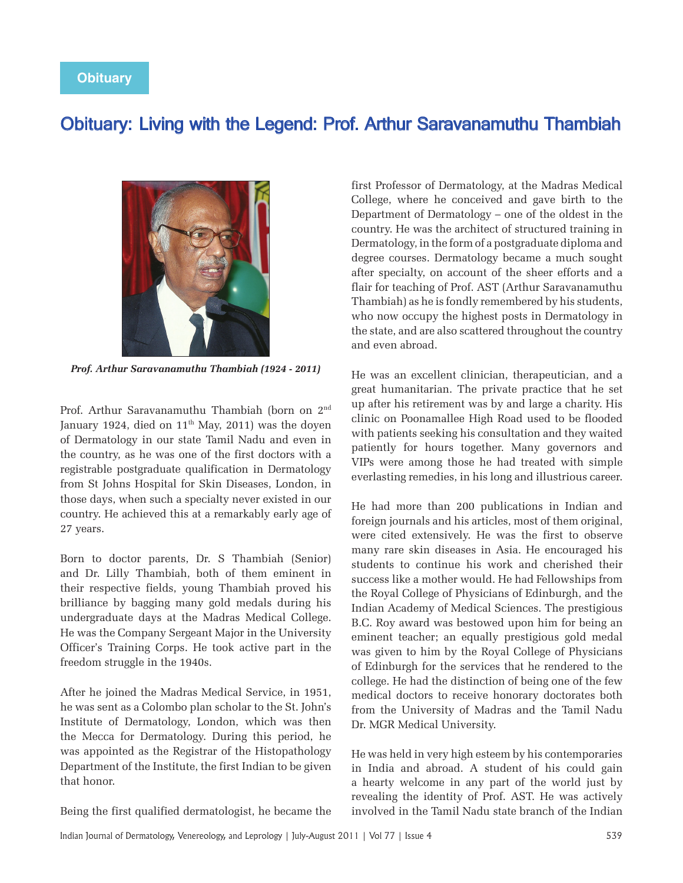## Obituary: Living with the Legend: Prof. Arthur Saravanamuthu Thambiah



*Prof. Arthur Saravanamuthu Thambiah (1924 - 2011)*

Prof. Arthur Saravanamuthu Thambiah (born on 2nd January 1924, died on  $11<sup>th</sup>$  May, 2011) was the doyen of Dermatology in our state Tamil Nadu and even in the country, as he was one of the first doctors with a registrable postgraduate qualification in Dermatology from St Johns Hospital for Skin Diseases, London, in those days, when such a specialty never existed in our country. He achieved this at a remarkably early age of 27 years.

Born to doctor parents, Dr. S Thambiah (Senior) and Dr. Lilly Thambiah, both of them eminent in their respective fields, young Thambiah proved his brilliance by bagging many gold medals during his undergraduate days at the Madras Medical College. He was the Company Sergeant Major in the University Officer's Training Corps. He took active part in the freedom struggle in the 1940s.

After he joined the Madras Medical Service, in 1951, he was sent as a Colombo plan scholar to the St. John's Institute of Dermatology, London, which was then the Mecca for Dermatology. During this period, he was appointed as the Registrar of the Histopathology Department of the Institute, the first Indian to be given that honor.

first Professor of Dermatology, at the Madras Medical College, where he conceived and gave birth to the Department of Dermatology – one of the oldest in the country. He was the architect of structured training in Dermatology, in the form of a postgraduate diploma and degree courses. Dermatology became a much sought after specialty, on account of the sheer efforts and a flair for teaching of Prof. AST (Arthur Saravanamuthu Thambiah) as he is fondly remembered by his students, who now occupy the highest posts in Dermatology in the state, and are also scattered throughout the country and even abroad.

He was an excellent clinician, therapeutician, and a great humanitarian. The private practice that he set up after his retirement was by and large a charity. His clinic on Poonamallee High Road used to be flooded with patients seeking his consultation and they waited patiently for hours together. Many governors and VIPs were among those he had treated with simple everlasting remedies, in his long and illustrious career.

He had more than 200 publications in Indian and foreign journals and his articles, most of them original, were cited extensively. He was the first to observe many rare skin diseases in Asia. He encouraged his students to continue his work and cherished their success like a mother would. He had Fellowships from the Royal College of Physicians of Edinburgh, and the Indian Academy of Medical Sciences. The prestigious B.C. Roy award was bestowed upon him for being an eminent teacher; an equally prestigious gold medal was given to him by the Royal College of Physicians of Edinburgh for the services that he rendered to the college. He had the distinction of being one of the few medical doctors to receive honorary doctorates both from the University of Madras and the Tamil Nadu Dr. MGR Medical University.

He was held in very high esteem by his contemporaries in India and abroad. A student of his could gain a hearty welcome in any part of the world just by revealing the identity of Prof. AST. He was actively involved in the Tamil Nadu state branch of the Indian

Being the first qualified dermatologist, he became the